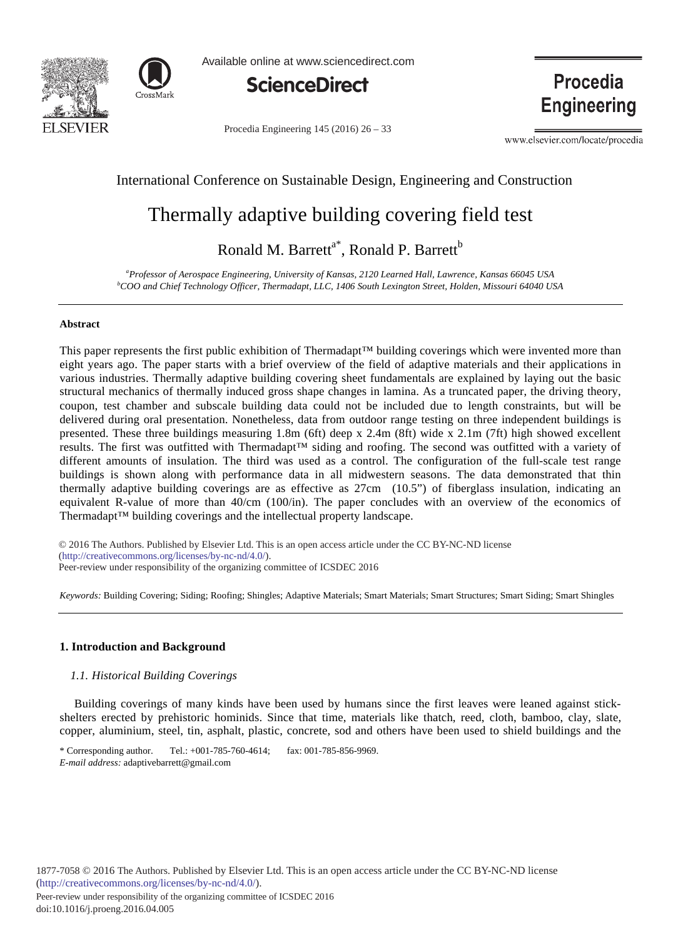



Available online at www.sciencedirect.com



Procedia Engineering 145 (2016) 26 - 33

Procedia **Engineering** 

www.elsevier.com/locate/procedia

## International Conference on Sustainable Design, Engineering and Construction

# Thermally adaptive building covering field test

# Ronald M. Barrett<sup>a\*</sup>, Ronald P. Barrett<sup>b</sup>

*a Professor of Aerospace Engineering, University of Kansas, 2120 Learned Hall, Lawrence, Kansas 66045 USA b COO and Chief Technology Officer, Thermadapt, LLC, 1406 South Lexington Street, Holden, Missouri 64040 USA* 

#### **Abstract**

This paper represents the first public exhibition of Thermadapt™ building coverings which were invented more than eight years ago. The paper starts with a brief overview of the field of adaptive materials and their applications in various industries. Thermally adaptive building covering sheet fundamentals are explained by laying out the basic structural mechanics of thermally induced gross shape changes in lamina. As a truncated paper, the driving theory, coupon, test chamber and subscale building data could not be included due to length constraints, but will be delivered during oral presentation. Nonetheless, data from outdoor range testing on three independent buildings is presented. These three buildings measuring 1.8m (6ft) deep x 2.4m (8ft) wide x 2.1m (7ft) high showed excellent results. The first was outfitted with Thermadapt™ siding and roofing. The second was outfitted with a variety of different amounts of insulation. The third was used as a control. The configuration of the full-scale test range buildings is shown along with performance data in all midwestern seasons. The data demonstrated that thin thermally adaptive building coverings are as effective as 27cm (10.5") of fiberglass insulation, indicating an equivalent R-value of more than 40/cm (100/in). The paper concludes with an overview of the economics of Thermadapt<sup>™</sup> building coverings and the intellectual property landscape.

© 2016 The Authors. Published by Elsevier Ltd. This is an open access article under the CC BY-NC-ND license (http://creativecommons.org/licenses/by-nc-nd/4.0/). Peer-review under responsibility of the organizing committee of ICSDEC 2016

*Keywords:* Building Covering; Siding; Roofing; Shingles; Adaptive Materials; Smart Materials; Smart Structures; Smart Siding; Smart Shingles

#### **1. Introduction and Background**

#### *1.1. Historical Building Coverings*

Building coverings of many kinds have been used by humans since the first leaves were leaned against stickshelters erected by prehistoric hominids. Since that time, materials like thatch, reed, cloth, bamboo, clay, slate, copper, aluminium, steel, tin, asphalt, plastic, concrete, sod and others have been used to shield buildings and the

\* Corresponding author. Tel.: +001-785-760-4614; fax: 001-785-856-9969. *E-mail address:* adaptivebarrett@gmail.com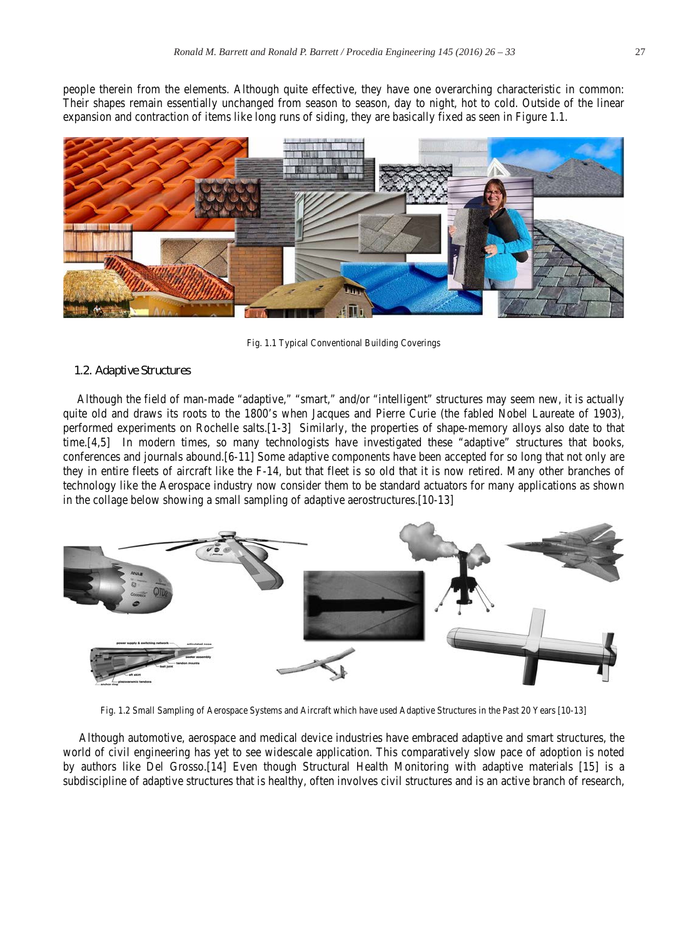people therein from the elements. Although quite effective, they have one overarching characteristic in common: Their shapes remain essentially unchanged from season to season, day to night, hot to cold. Outside of the linear expansion and contraction of items like long runs of siding, they are basically fixed as seen in Figure 1.1.



Fig. 1.1 Typical Conventional Building Coverings

#### *1.2. Adaptive Structures*

Although the field of man-made "adaptive," "smart," and/or "intelligent" structures may seem new, it is actually quite old and draws its roots to the 1800's when Jacques and Pierre Curie (the fabled Nobel Laureate of 1903), performed experiments on Rochelle salts.[1-3] Similarly, the properties of shape-memory alloys also date to that time.[4,5] In modern times, so many technologists have investigated these "adaptive" structures that books, conferences and journals abound.[6-11] Some adaptive components have been accepted for so long that not only are they in entire fleets of aircraft like the F-14, but that fleet is so old that it is now retired. Many other branches of technology like the Aerospace industry now consider them to be standard actuators for many applications as shown in the collage below showing a small sampling of adaptive aerostructures.[10-13]



Fig. 1.2 Small Sampling of Aerospace Systems and Aircraft which have used Adaptive Structures in the Past 20 Years [10-13]

Although automotive, aerospace and medical device industries have embraced adaptive and smart structures, the world of civil engineering has yet to see widescale application. This comparatively slow pace of adoption is noted by authors like Del Grosso.[14] Even though Structural Health Monitoring with adaptive materials [15] is a subdiscipline of adaptive structures that is healthy, often involves civil structures and is an active branch of research,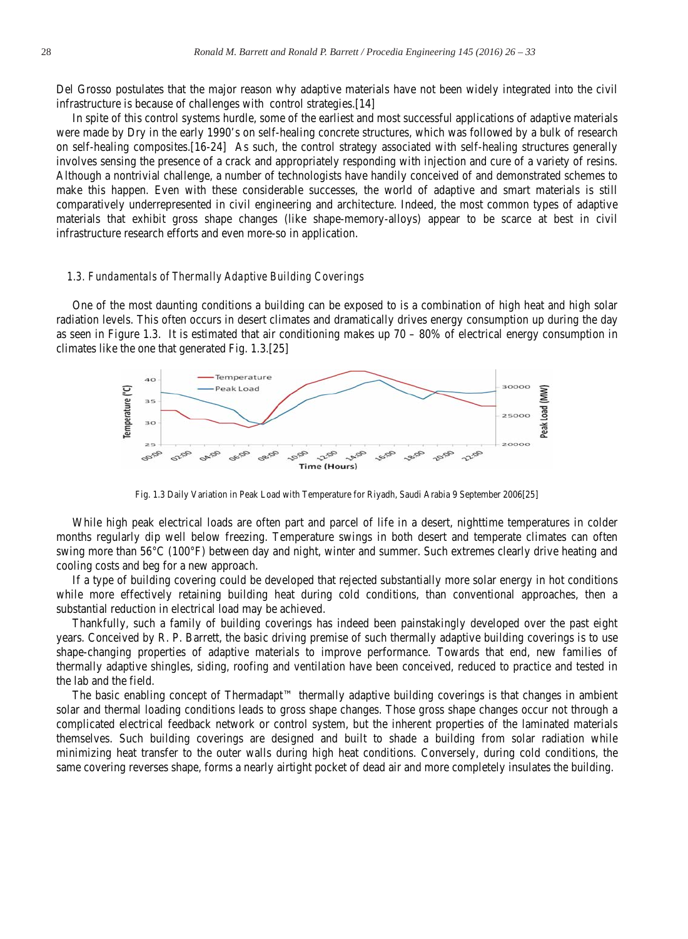Del Grosso postulates that the major reason why adaptive materials have not been widely integrated into the civil infrastructure is because of challenges with control strategies.[14]

In spite of this control systems hurdle, some of the earliest and most successful applications of adaptive materials were made by Dry in the early 1990's on self-healing concrete structures, which was followed by a bulk of research on self-healing composites.[16-24] As such, the control strategy associated with self-healing structures generally involves sensing the presence of a crack and appropriately responding with injection and cure of a variety of resins. Although a nontrivial challenge, a number of technologists have handily conceived of and demonstrated schemes to make this happen. Even with these considerable successes, the world of adaptive and smart materials is still comparatively underrepresented in civil engineering and architecture. Indeed, the most common types of adaptive materials that exhibit gross shape changes (like shape-memory-alloys) appear to be scarce at best in civil infrastructure research efforts and even more-so in application.

#### *1.3. Fundamentals of Thermally Adaptive Building Coverings*

One of the most daunting conditions a building can be exposed to is a combination of high heat and high solar radiation levels. This often occurs in desert climates and dramatically drives energy consumption up during the day as seen in Figure 1.3. It is estimated that air conditioning makes up  $70 - 80\%$  of electrical energy consumption in climates like the one that generated Fig. 1.3.[25]



Fig. 1.3 Daily Variation in Peak Load with Temperature for Riyadh, Saudi Arabia 9 September 2006[25]

While high peak electrical loads are often part and parcel of life in a desert, nighttime temperatures in colder months regularly dip well below freezing. Temperature swings in both desert and temperate climates can often swing more than 56°C (100°F) between day and night, winter and summer. Such extremes clearly drive heating and cooling costs and beg for a new approach.

If a type of building covering could be developed that rejected substantially more solar energy in hot conditions while more effectively retaining building heat during cold conditions, than conventional approaches, then a substantial reduction in electrical load may be achieved.

Thankfully, such a family of building coverings has indeed been painstakingly developed over the past eight years. Conceived by R. P. Barrett, the basic driving premise of such thermally adaptive building coverings is to use shape-changing properties of adaptive materials to improve performance. Towards that end, new families of thermally adaptive shingles, siding, roofing and ventilation have been conceived, reduced to practice and tested in the lab and the field.

The basic enabling concept of Thermadapt<sup>™</sup> thermally adaptive building coverings is that changes in ambient solar and thermal loading conditions leads to gross shape changes. Those gross shape changes occur not through a complicated electrical feedback network or control system, but the inherent properties of the laminated materials themselves. Such building coverings are designed and built to shade a building from solar radiation while minimizing heat transfer to the outer walls during high heat conditions. Conversely, during cold conditions, the same covering reverses shape, forms a nearly airtight pocket of dead air and more completely insulates the building.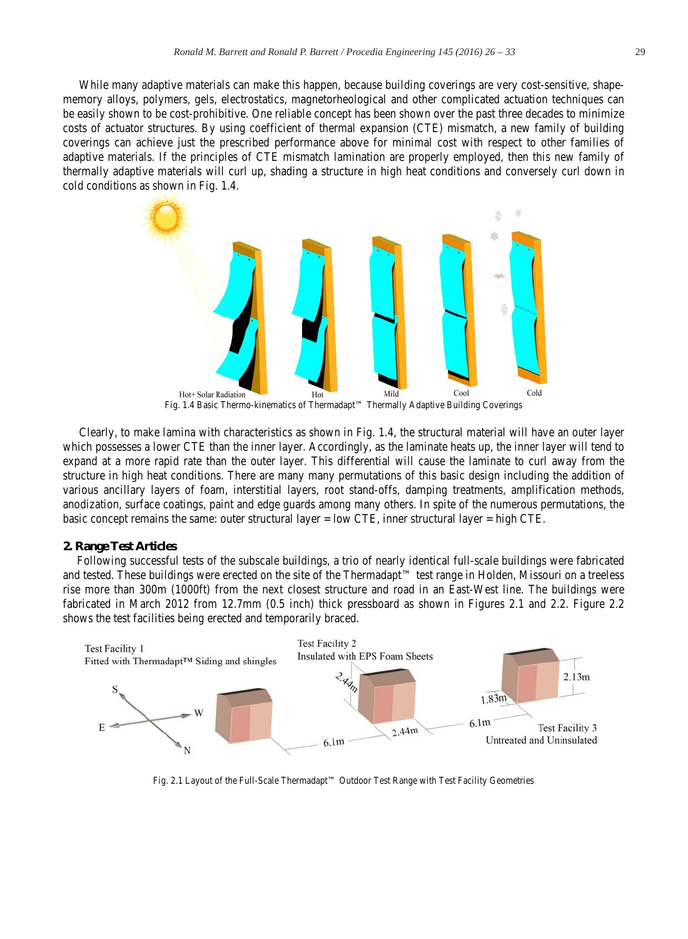While many adaptive materials can make this happen, because building coverings are very cost-sensitive, shapememory alloys, polymers, gels, electrostatics, magnetorheological and other complicated actuation techniques can be easily shown to be cost-prohibitive. One reliable concept has been shown over the past three decades to minimize costs of actuator structures. By using coefficient of thermal expansion (CTE) mismatch, a new family of building coverings can achieve just the prescribed performance above for minimal cost with respect to other families of adaptive materials. If the principles of CTE mismatch lamination are properly employed, then this new family of thermally adaptive materials will curl up, shading a structure in high heat conditions and conversely curl down in cold conditions as shown in Fig. 1.4.



Fig. 1.4 Basic Thermo-kinematics of Thermadapt™ Thermally Adaptive Building Coverings

Clearly, to make lamina with characteristics as shown in Fig. 1.4, the structural material will have an outer layer which possesses a lower CTE than the inner layer. Accordingly, as the laminate heats up, the inner layer will tend to expand at a more rapid rate than the outer layer. This differential will cause the laminate to curl away from the structure in high heat conditions. There are many many permutations of this basic design including the addition of various ancillary layers of foam, interstitial layers, root stand-offs, damping treatments, amplification methods, anodization, surface coatings, paint and edge guards among many others. In spite of the numerous permutations, the basic concept remains the same: outer structural layer = low CTE, inner structural layer = high CTE.

#### **2. Range Test Articles**

Following successful tests of the subscale buildings, a trio of nearly identical full-scale buildings were fabricated and tested. These buildings were erected on the site of the Thermadapt™ test range in Holden, Missouri on a treeless rise more than 300m (1000ft) from the next closest structure and road in an East-West line. The buildings were fabricated in March 2012 from 12.7mm (0.5 inch) thick pressboard as shown in Figures 2.1 and 2.2. Figure 2.2 shows the test facilities being erected and temporarily braced.



Fig. 2.1 Layout of the Full-Scale Thermadapt™ Outdoor Test Range with Test Facility Geometries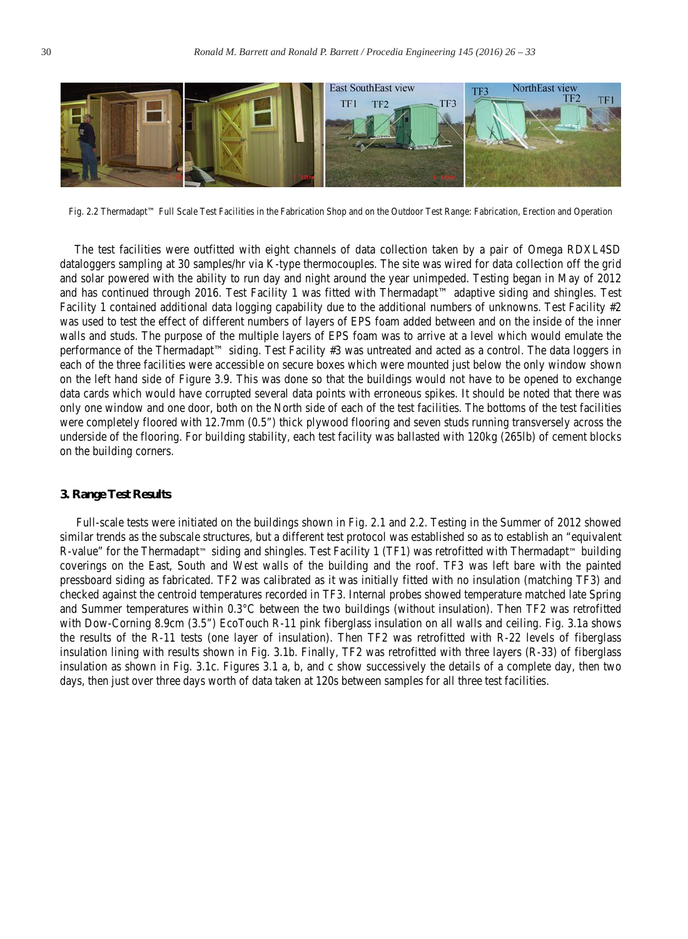

Fig. 2.2 Thermadapt™ Full Scale Test Facilities in the Fabrication Shop and on the Outdoor Test Range: Fabrication, Erection and Operation

The test facilities were outfitted with eight channels of data collection taken by a pair of Omega RDXL4SD dataloggers sampling at 30 samples/hr via K-type thermocouples. The site was wired for data collection off the grid and solar powered with the ability to run day and night around the year unimpeded. Testing began in May of 2012 and has continued through 2016. Test Facility 1 was fitted with Thermadapt™ adaptive siding and shingles. Test Facility 1 contained additional data logging capability due to the additional numbers of unknowns. Test Facility #2 was used to test the effect of different numbers of layers of EPS foam added between and on the inside of the inner walls and studs. The purpose of the multiple layers of EPS foam was to arrive at a level which would emulate the performance of the Thermadapt™ siding. Test Facility #3 was untreated and acted as a control. The data loggers in each of the three facilities were accessible on secure boxes which were mounted just below the only window shown on the left hand side of Figure 3.9. This was done so that the buildings would not have to be opened to exchange data cards which would have corrupted several data points with erroneous spikes. It should be noted that there was only one window and one door, both on the North side of each of the test facilities. The bottoms of the test facilities were completely floored with 12.7mm (0.5") thick plywood flooring and seven studs running transversely across the underside of the flooring. For building stability, each test facility was ballasted with 120kg (265lb) of cement blocks on the building corners.

#### **3. Range Test Results**

Full-scale tests were initiated on the buildings shown in Fig. 2.1 and 2.2. Testing in the Summer of 2012 showed similar trends as the subscale structures, but a different test protocol was established so as to establish an "equivalent R-value" for the Thermadapt™ siding and shingles. Test Facility 1 (TF1) was retrofitted with Thermadapt™ building coverings on the East, South and West walls of the building and the roof. TF3 was left bare with the painted pressboard siding as fabricated. TF2 was calibrated as it was initially fitted with no insulation (matching TF3) and checked against the centroid temperatures recorded in TF3. Internal probes showed temperature matched late Spring and Summer temperatures within 0.3°C between the two buildings (without insulation). Then TF2 was retrofitted with Dow-Corning 8.9cm (3.5") EcoTouch R-11 pink fiberglass insulation on all walls and ceiling. Fig. 3.1a shows the results of the R-11 tests (one layer of insulation). Then TF2 was retrofitted with R-22 levels of fiberglass insulation lining with results shown in Fig. 3.1b. Finally, TF2 was retrofitted with three layers (R-33) of fiberglass insulation as shown in Fig. 3.1c. Figures 3.1 a, b, and c show successively the details of a complete day, then two days, then just over three days worth of data taken at 120s between samples for all three test facilities.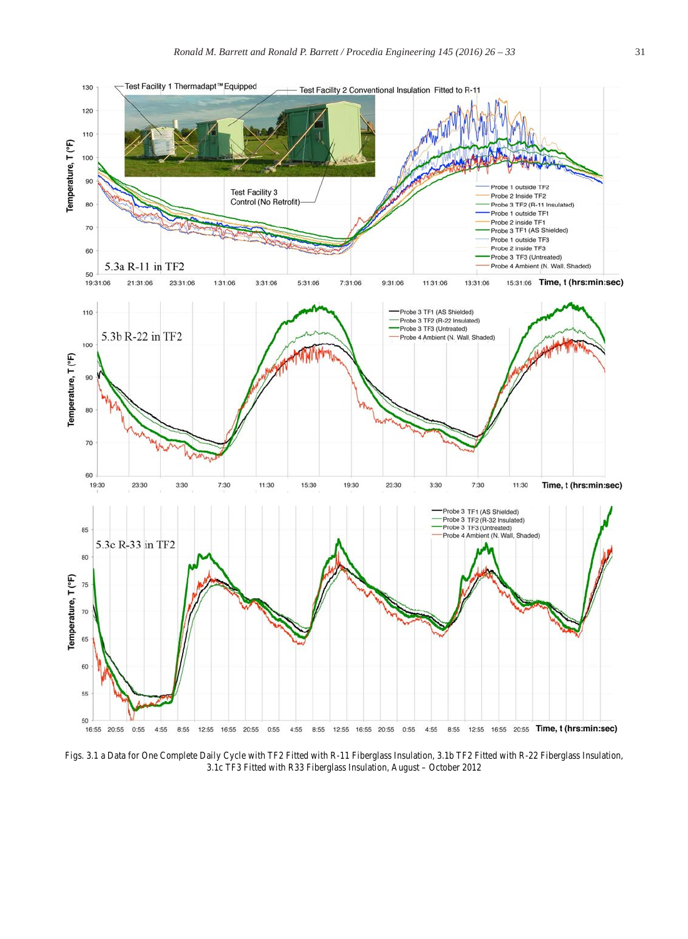

Figs. 3.1 a Data for One Complete Daily Cycle with TF2 Fitted with R-11 Fiberglass Insulation, 3.1b TF2 Fitted with R-22 Fiberglass Insulation, 3.1c TF3 Fitted with R33 Fiberglass Insulation, August – October 2012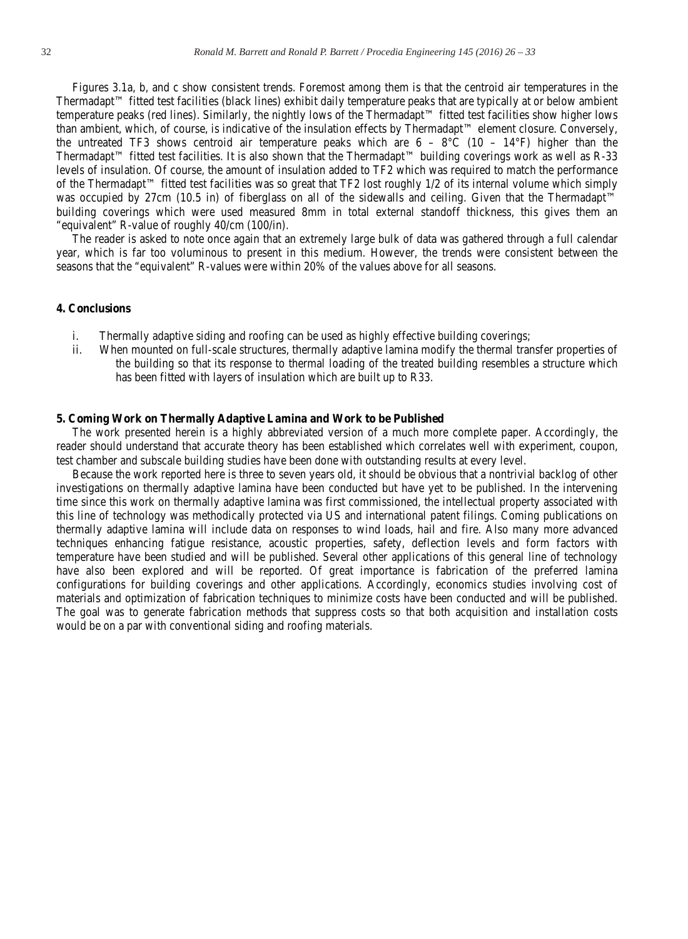Figures 3.1a, b, and c show consistent trends. Foremost among them is that the centroid air temperatures in the Thermadapt™ fitted test facilities (black lines) exhibit daily temperature peaks that are typically at or below ambient temperature peaks (red lines). Similarly, the nightly lows of the Thermadapt™ fitted test facilities show higher lows than ambient, which, of course, is indicative of the insulation effects by Thermadapt™ element closure. Conversely, the untreated TF3 shows centroid air temperature peaks which are  $6 - 8^{\circ}C (10 - 14^{\circ}F)$  higher than the Thermadapt™ fitted test facilities. It is also shown that the Thermadapt™ building coverings work as well as R-33 levels of insulation. Of course, the amount of insulation added to TF2 which was required to match the performance of the Thermadapt™ fitted test facilities was so great that TF2 lost roughly 1/2 of its internal volume which simply was occupied by 27cm (10.5 in) of fiberglass on all of the sidewalls and ceiling. Given that the Thermadapt™ building coverings which were used measured 8mm in total external standoff thickness, this gives them an "equivalent" R-value of roughly 40/cm (100/in).

The reader is asked to note once again that an extremely large bulk of data was gathered through a full calendar year, which is far too voluminous to present in this medium. However, the trends were consistent between the seasons that the "equivalent" R-values were within 20% of the values above for all seasons.

### **4. Conclusions**

- i. Thermally adaptive siding and roofing can be used as highly effective building coverings;
- ii. When mounted on full-scale structures, thermally adaptive lamina modify the thermal transfer properties of the building so that its response to thermal loading of the treated building resembles a structure which has been fitted with layers of insulation which are built up to R33.

#### **5. Coming Work on Thermally Adaptive Lamina and Work to be Published**

The work presented herein is a highly abbreviated version of a much more complete paper. Accordingly, the reader should understand that accurate theory has been established which correlates well with experiment, coupon, test chamber and subscale building studies have been done with outstanding results at every level.

Because the work reported here is three to seven years old, it should be obvious that a nontrivial backlog of other investigations on thermally adaptive lamina have been conducted but have yet to be published. In the intervening time since this work on thermally adaptive lamina was first commissioned, the intellectual property associated with this line of technology was methodically protected via US and international patent filings. Coming publications on thermally adaptive lamina will include data on responses to wind loads, hail and fire. Also many more advanced techniques enhancing fatigue resistance, acoustic properties, safety, deflection levels and form factors with temperature have been studied and will be published. Several other applications of this general line of technology have also been explored and will be reported. Of great importance is fabrication of the preferred lamina configurations for building coverings and other applications. Accordingly, economics studies involving cost of materials and optimization of fabrication techniques to minimize costs have been conducted and will be published. The goal was to generate fabrication methods that suppress costs so that both acquisition and installation costs would be on a par with conventional siding and roofing materials.